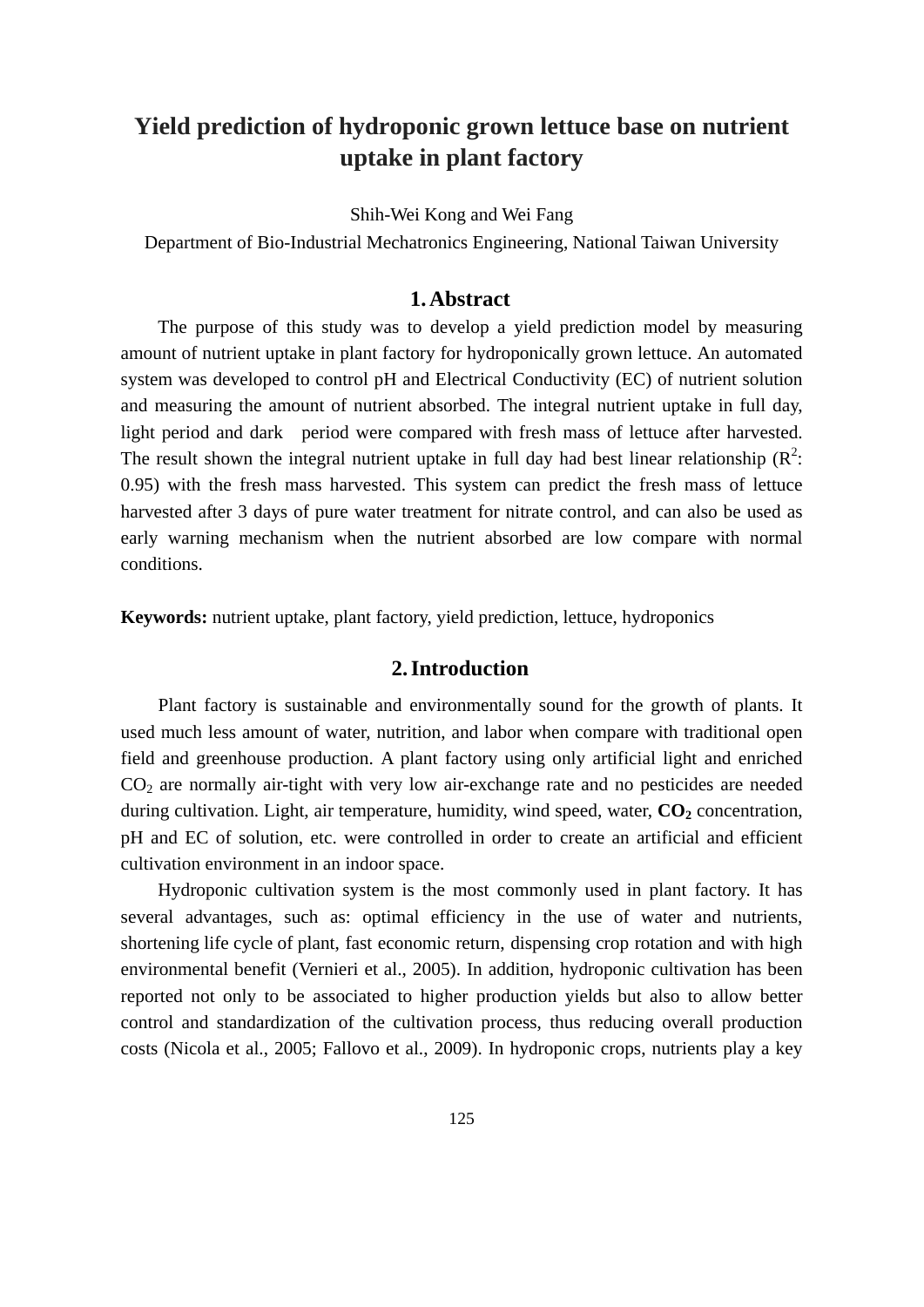# **Yield prediction of hydroponic grown lettuce base on nutrient uptake in plant factory**

Shih-Wei Kong and Wei Fang

Department of Bio-Industrial Mechatronics Engineering, National Taiwan University

## **1. Abstract**

The purpose of this study was to develop a yield prediction model by measuring amount of nutrient uptake in plant factory for hydroponically grown lettuce. An automated system was developed to control pH and Electrical Conductivity (EC) of nutrient solution and measuring the amount of nutrient absorbed. The integral nutrient uptake in full day, light period and dark period were compared with fresh mass of lettuce after harvested. The result shown the integral nutrient uptake in full day had best linear relationship  $(R^2$ : 0.95) with the fresh mass harvested. This system can predict the fresh mass of lettuce harvested after 3 days of pure water treatment for nitrate control, and can also be used as early warning mechanism when the nutrient absorbed are low compare with normal conditions.

**Keywords:** nutrient uptake, plant factory, yield prediction, lettuce, hydroponics

# **2. Introduction**

Plant factory is sustainable and environmentally sound for the growth of plants. It used much less amount of water, nutrition, and labor when compare with traditional open field and greenhouse production. A plant factory using only artificial light and enriched CO2 are normally air-tight with very low air-exchange rate and no pesticides are needed during cultivation. Light, air temperature, humidity, wind speed, water,  $CO<sub>2</sub>$  concentration, pH and EC of solution, etc. were controlled in order to create an artificial and efficient cultivation environment in an indoor space.

Hydroponic cultivation system is the most commonly used in plant factory. It has several advantages, such as: optimal efficiency in the use of water and nutrients, shortening life cycle of plant, fast economic return, dispensing crop rotation and with high environmental benefit (Vernieri et al., 2005). In addition, hydroponic cultivation has been reported not only to be associated to higher production yields but also to allow better control and standardization of the cultivation process, thus reducing overall production costs (Nicola et al., 2005; Fallovo et al., 2009). In hydroponic crops, nutrients play a key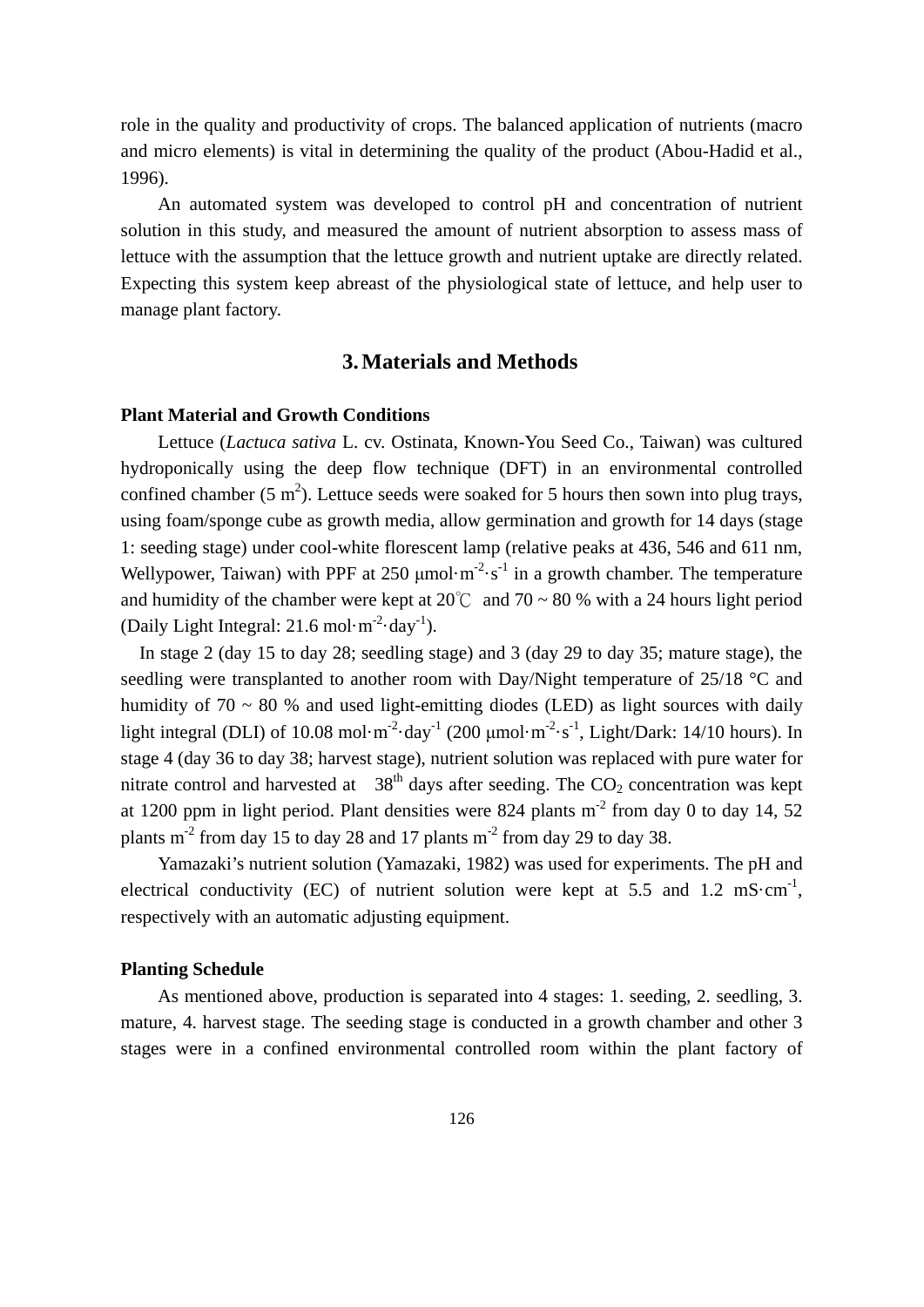role in the quality and productivity of crops. The balanced application of nutrients (macro and micro elements) is vital in determining the quality of the product (Abou-Hadid et al., 1996).

An automated system was developed to control pH and concentration of nutrient solution in this study, and measured the amount of nutrient absorption to assess mass of lettuce with the assumption that the lettuce growth and nutrient uptake are directly related. Expecting this system keep abreast of the physiological state of lettuce, and help user to manage plant factory.

# **3. Materials and Methods**

#### **Plant Material and Growth Conditions**

Lettuce (*Lactuca sativa* L. cv. Ostinata, Known-You Seed Co., Taiwan) was cultured hydroponically using the deep flow technique (DFT) in an environmental controlled confined chamber (5 m<sup>2</sup>). Lettuce seeds were soaked for 5 hours then sown into plug trays, using foam/sponge cube as growth media, allow germination and growth for 14 days (stage 1: seeding stage) under cool-white florescent lamp (relative peaks at 436, 546 and 611 nm, Wellypower, Taiwan) with PPF at 250  $\mu$ mol·m<sup>-2</sup>·s<sup>-1</sup> in a growth chamber. The temperature and humidity of the chamber were kept at  $20^{\circ}$  and  $70 \sim 80$  % with a 24 hours light period (Daily Light Integral:  $21.6$  mol·m<sup>-2</sup>·day<sup>-1</sup>).

In stage 2 (day 15 to day 28; seedling stage) and 3 (day 29 to day 35; mature stage), the seedling were transplanted to another room with Day/Night temperature of 25/18 °C and humidity of  $70 \sim 80$  % and used light-emitting diodes (LED) as light sources with daily light integral (DLI) of 10.08 mol·m<sup>-2</sup>·day<sup>-1</sup> (200  $\mu$ mol·m<sup>-2</sup>·s<sup>-1</sup>, Light/Dark: 14/10 hours). In stage 4 (day 36 to day 38; harvest stage), nutrient solution was replaced with pure water for nitrate control and harvested at  $38<sup>th</sup>$  days after seeding. The  $CO<sub>2</sub>$  concentration was kept at 1200 ppm in light period. Plant densities were 824 plants  $m<sup>-2</sup>$  from day 0 to day 14, 52 plants  $m<sup>2</sup>$  from day 15 to day 28 and 17 plants  $m<sup>2</sup>$  from day 29 to day 38.

Yamazaki's nutrient solution (Yamazaki, 1982) was used for experiments. The pH and electrical conductivity (EC) of nutrient solution were kept at  $5.5$  and  $1.2 \text{ ms} \cdot \text{cm}^{-1}$ , respectively with an automatic adjusting equipment.

#### **Planting Schedule**

As mentioned above, production is separated into 4 stages: 1. seeding, 2. seedling, 3. mature, 4. harvest stage. The seeding stage is conducted in a growth chamber and other 3 stages were in a confined environmental controlled room within the plant factory of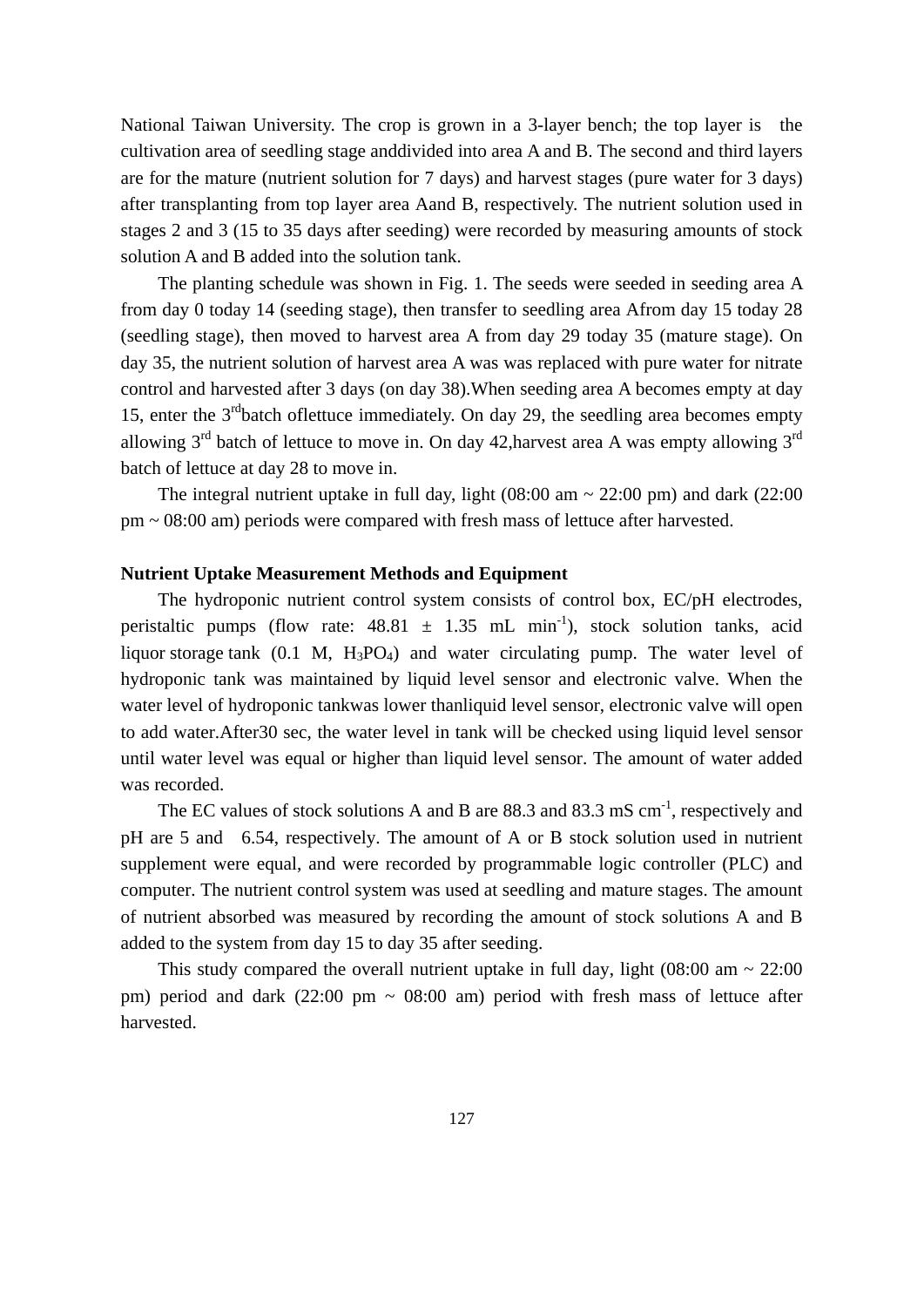National Taiwan University. The crop is grown in a 3-layer bench; the top layer is the cultivation area of seedling stage anddivided into area A and B. The second and third layers are for the mature (nutrient solution for 7 days) and harvest stages (pure water for 3 days) after transplanting from top layer area Aand B, respectively. The nutrient solution used in stages 2 and 3 (15 to 35 days after seeding) were recorded by measuring amounts of stock solution A and B added into the solution tank.

The planting schedule was shown in Fig. 1. The seeds were seeded in seeding area A from day 0 today 14 (seeding stage), then transfer to seedling area Afrom day 15 today 28 (seedling stage), then moved to harvest area A from day 29 today 35 (mature stage). On day 35, the nutrient solution of harvest area A was was replaced with pure water for nitrate control and harvested after 3 days (on day 38).When seeding area A becomes empty at day 15, enter the 3<sup>rd</sup>batch of lettuce immediately. On day 29, the seedling area becomes empty allowing  $3<sup>rd</sup>$  batch of lettuce to move in. On day 42, harvest area A was empty allowing  $3<sup>rd</sup>$ batch of lettuce at day 28 to move in.

The integral nutrient uptake in full day, light  $(08:00 \text{ am} \sim 22:00 \text{ pm})$  and dark  $(22:00 \text{ pm})$ pm ~ 08:00 am) periods were compared with fresh mass of lettuce after harvested.

### **Nutrient Uptake Measurement Methods and Equipment**

The hydroponic nutrient control system consists of control box, EC/pH electrodes, peristaltic pumps (flow rate:  $48.81 \pm 1.35$  mL min<sup>-1</sup>), stock solution tanks, acid liquor storage tank  $(0.1 \text{ M}, H_3PO_4)$  and water circulating pump. The water level of hydroponic tank was maintained by liquid level sensor and electronic valve. When the water level of hydroponic tankwas lower thanliquid level sensor, electronic valve will open to add water.After30 sec, the water level in tank will be checked using liquid level sensor until water level was equal or higher than liquid level sensor. The amount of water added was recorded.

The EC values of stock solutions A and B are 88.3 and 83.3 mS cm<sup>-1</sup>, respectively and pH are 5 and 6.54, respectively. The amount of A or B stock solution used in nutrient supplement were equal, and were recorded by programmable logic controller (PLC) and computer. The nutrient control system was used at seedling and mature stages. The amount of nutrient absorbed was measured by recording the amount of stock solutions A and B added to the system from day 15 to day 35 after seeding.

This study compared the overall nutrient uptake in full day, light  $(08:00 \text{ am} \sim 22:00$ pm) period and dark  $(22:00 \text{ pm} \sim 08:00 \text{ am})$  period with fresh mass of lettuce after harvested.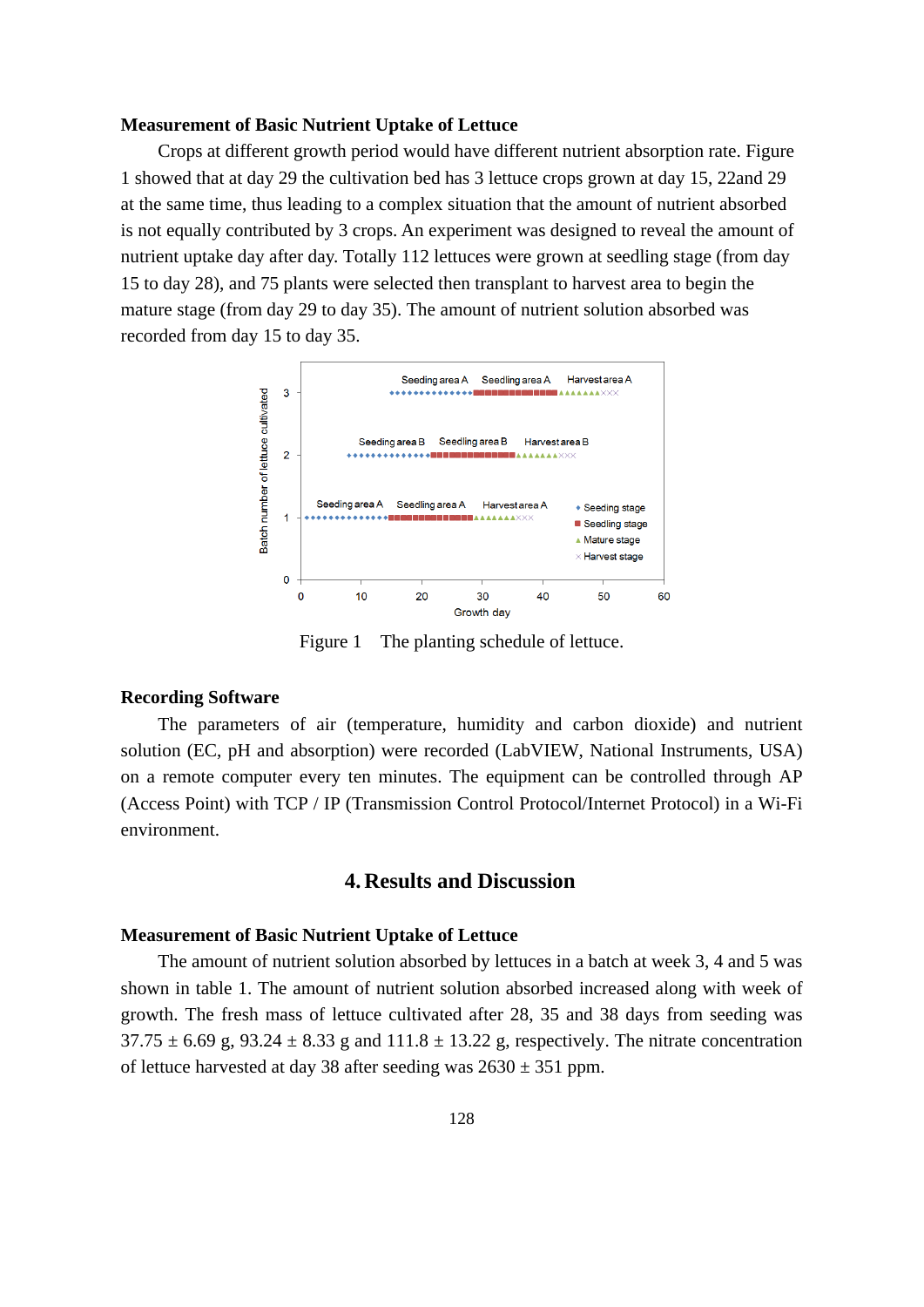#### **Measurement of Basic Nutrient Uptake of Lettuce**

Crops at different growth period would have different nutrient absorption rate. Figure 1 showed that at day 29 the cultivation bed has 3 lettuce crops grown at day 15, 22and 29 at the same time, thus leading to a complex situation that the amount of nutrient absorbed is not equally contributed by 3 crops. An experiment was designed to reveal the amount of nutrient uptake day after day. Totally 112 lettuces were grown at seedling stage (from day 15 to day 28), and 75 plants were selected then transplant to harvest area to begin the mature stage (from day 29 to day 35). The amount of nutrient solution absorbed was recorded from day 15 to day 35.



Figure 1 The planting schedule of lettuce.

### **Recording Software**

The parameters of air (temperature, humidity and carbon dioxide) and nutrient solution (EC, pH and absorption) were recorded (LabVIEW, National Instruments, USA) on a remote computer every ten minutes. The equipment can be controlled through AP (Access Point) with TCP / IP (Transmission Control Protocol/Internet Protocol) in a Wi-Fi environment.

# **4. Results and Discussion**

### **Measurement of Basic Nutrient Uptake of Lettuce**

The amount of nutrient solution absorbed by lettuces in a batch at week 3, 4 and 5 was shown in table 1. The amount of nutrient solution absorbed increased along with week of growth. The fresh mass of lettuce cultivated after 28, 35 and 38 days from seeding was  $37.75 \pm 6.69$  g,  $93.24 \pm 8.33$  g and  $111.8 \pm 13.22$  g, respectively. The nitrate concentration of lettuce harvested at day 38 after seeding was  $2630 \pm 351$  ppm.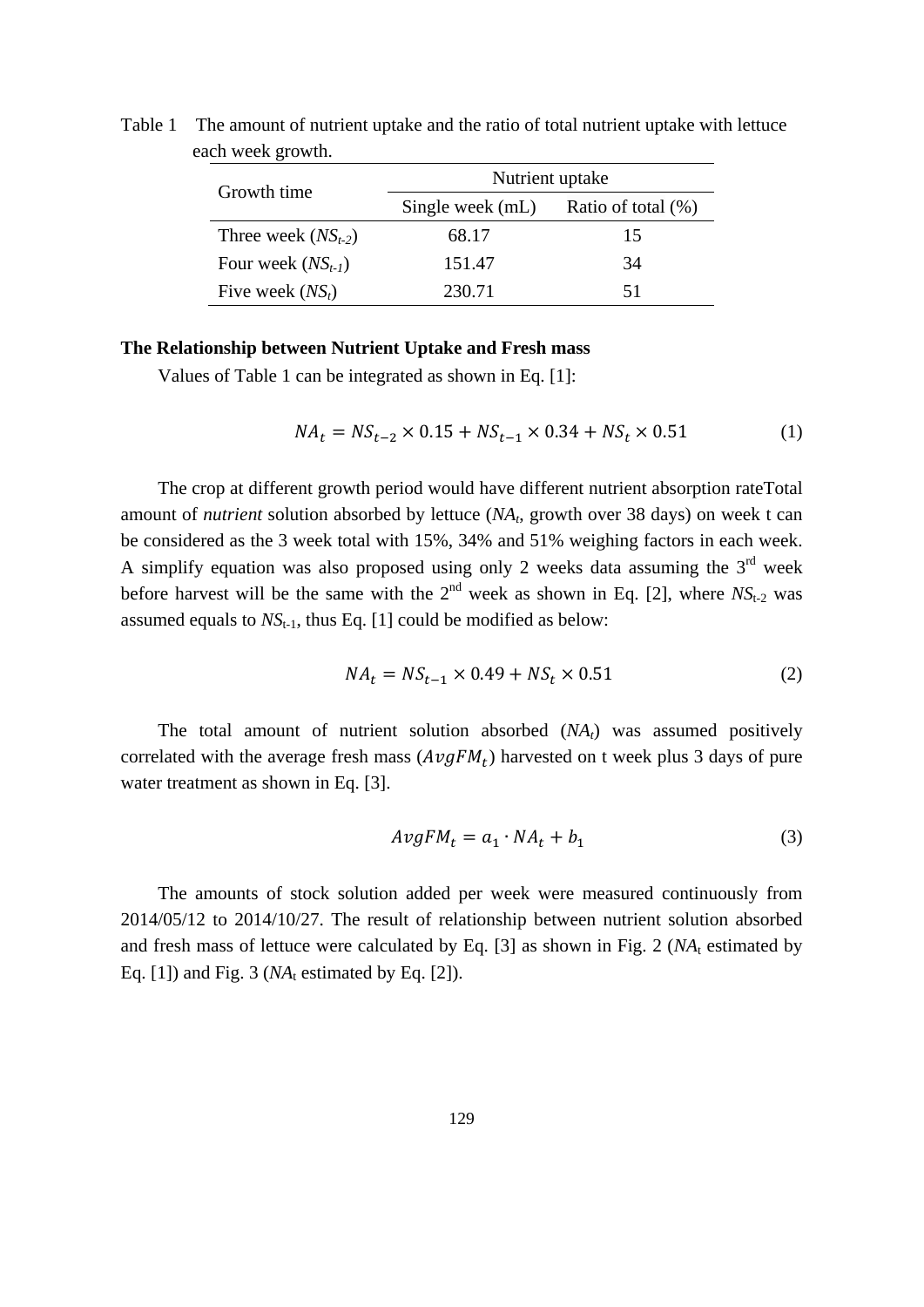| Growth time             | Nutrient uptake  |                       |
|-------------------------|------------------|-----------------------|
|                         | Single week (mL) | Ratio of total $(\%)$ |
| Three week $(NS_{t-2})$ | 68.17            | 15                    |
| Four week $(NS_{t-1})$  | 151.47           | 34                    |
| Five week $(NS_t)$      | 230.71           | 51                    |

Table 1 The amount of nutrient uptake and the ratio of total nutrient uptake with lettuce each week growth.

#### **The Relationship between Nutrient Uptake and Fresh mass**

Values of Table 1 can be integrated as shown in Eq. [1]:

$$
NA_t = NS_{t-2} \times 0.15 + NS_{t-1} \times 0.34 + NS_t \times 0.51
$$
 (1)

The crop at different growth period would have different nutrient absorption rateTotal amount of *nutrient* solution absorbed by lettuce (*NA<sub>t</sub>*, growth over 38 days) on week t can be considered as the 3 week total with 15%, 34% and 51% weighing factors in each week. A simplify equation was also proposed using only 2 weeks data assuming the  $3<sup>rd</sup>$  week before harvest will be the same with the  $2<sup>nd</sup>$  week as shown in Eq. [2], where  $NS<sub>t-2</sub>$  was assumed equals to  $NS_{t-1}$ , thus Eq. [1] could be modified as below:

$$
NA_t = NS_{t-1} \times 0.49 + NS_t \times 0.51
$$
 (2)

The total amount of nutrient solution absorbed  $(NA_t)$  was assumed positively correlated with the average fresh mass  $(AvgFM_t)$  harvested on t week plus 3 days of pure water treatment as shown in Eq. [3].

$$
AvgFM_t = a_1 \cdot NA_t + b_1 \tag{3}
$$

The amounts of stock solution added per week were measured continuously from 2014/05/12 to 2014/10/27. The result of relationship between nutrient solution absorbed and fresh mass of lettuce were calculated by Eq. [3] as shown in Fig. 2 (*NA*t estimated by Eq.  $[1]$ ) and Fig. 3 ( $NA$ <sub>t</sub> estimated by Eq.  $[2]$ ).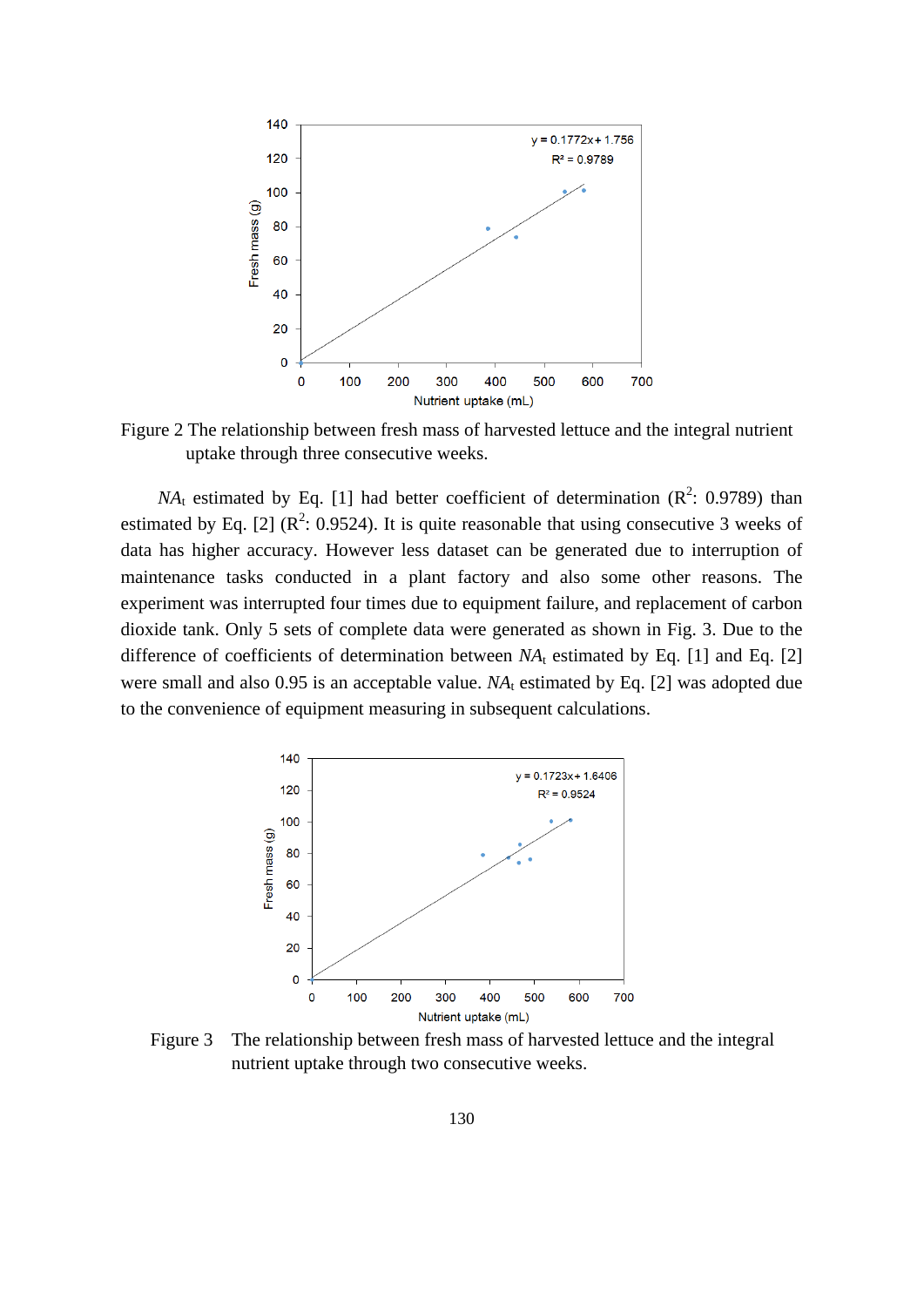

Figure 2 The relationship between fresh mass of harvested lettuce and the integral nutrient uptake through three consecutive weeks.

 $NA_t$  estimated by Eq. [1] had better coefficient of determination ( $R^2$ : 0.9789) than estimated by Eq. [2] ( $\mathbb{R}^2$ : 0.9524). It is quite reasonable that using consecutive 3 weeks of data has higher accuracy. However less dataset can be generated due to interruption of maintenance tasks conducted in a plant factory and also some other reasons. The experiment was interrupted four times due to equipment failure, and replacement of carbon dioxide tank. Only 5 sets of complete data were generated as shown in Fig. 3. Due to the difference of coefficients of determination between  $NA_t$  estimated by Eq. [1] and Eq. [2] were small and also  $0.95$  is an acceptable value.  $NA<sub>t</sub>$  estimated by Eq. [2] was adopted due to the convenience of equipment measuring in subsequent calculations.



Figure 3 The relationship between fresh mass of harvested lettuce and the integral nutrient uptake through two consecutive weeks.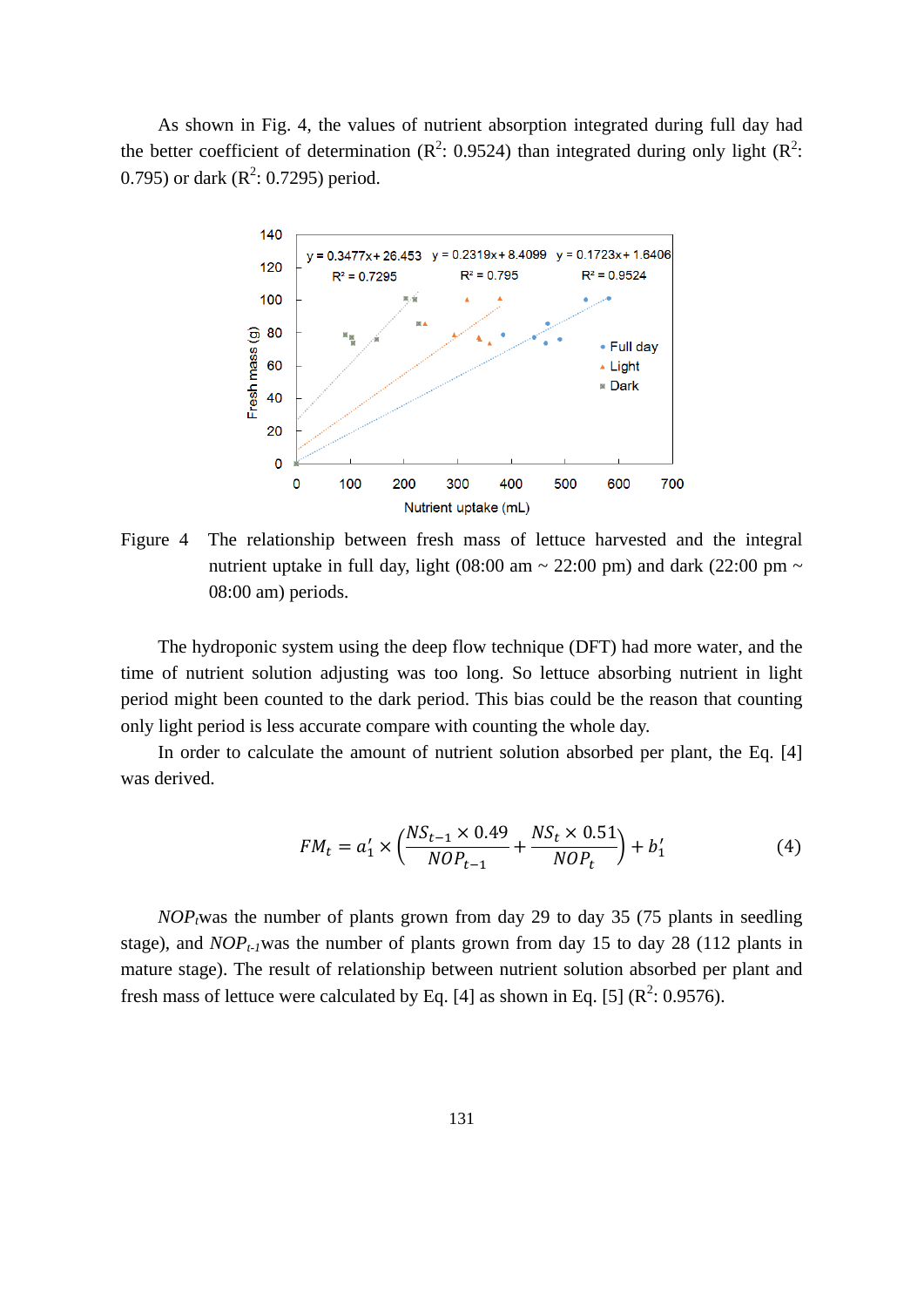As shown in Fig. 4, the values of nutrient absorption integrated during full day had the better coefficient of determination ( $\mathbb{R}^2$ : 0.9524) than integrated during only light ( $\mathbb{R}^2$ : 0.795) or dark  $(R^2: 0.7295)$  period.



Figure 4 The relationship between fresh mass of lettuce harvested and the integral nutrient uptake in full day, light (08:00 am  $\sim$  22:00 pm) and dark (22:00 pm  $\sim$ 08:00 am) periods.

The hydroponic system using the deep flow technique (DFT) had more water, and the time of nutrient solution adjusting was too long. So lettuce absorbing nutrient in light period might been counted to the dark period. This bias could be the reason that counting only light period is less accurate compare with counting the whole day.

In order to calculate the amount of nutrient solution absorbed per plant, the Eq. [4] was derived.

$$
FM_t = a'_1 \times \left(\frac{NS_{t-1} \times 0.49}{NOP_{t-1}} + \frac{NS_t \times 0.51}{NOP_t}\right) + b'_1
$$
 (4)

 $NOP<sub>t</sub>$  was the number of plants grown from day 29 to day 35 (75 plants in seedling stage), and  $NOP_{t-1}$ was the number of plants grown from day 15 to day 28 (112 plants in mature stage). The result of relationship between nutrient solution absorbed per plant and fresh mass of lettuce were calculated by Eq. [4] as shown in Eq. [5] ( $\mathbb{R}^2$ : 0.9576).